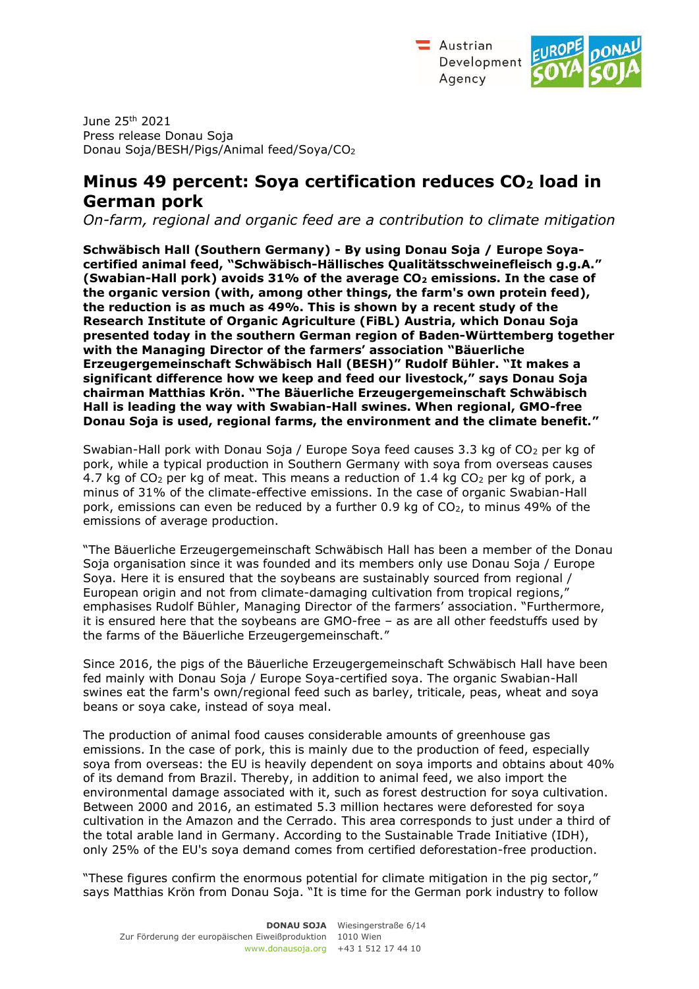

June 25th 2021 Press release Donau Soja Donau Soja/BESH/Pigs/Animal feed/Soya/CO<sup>2</sup>

## **Minus 49 percent: Soya certification reduces CO2 load in German pork**

*On-farm, regional and organic feed are a contribution to climate mitigation* 

**Schwäbisch Hall (Southern Germany) - By using Donau Soja / Europe Soyacertified animal feed, "Schwäbisch-Hällisches Qualitätsschweinefleisch g.g.A." (Swabian-Hall pork) avoids 31% of the average CO2 emissions. In the case of the organic version (with, among other things, the farm's own protein feed), the reduction is as much as 49%. This is shown by a recent study of the Research Institute of Organic Agriculture (FiBL) Austria, which Donau Soja presented today in the southern German region of Baden-Württemberg together with the Managing Director of the farmers' association "Bäuerliche Erzeugergemeinschaft Schwäbisch Hall (BESH)" Rudolf Bühler. "It makes a significant difference how we keep and feed our livestock," says Donau Soja chairman Matthias Krön. "The Bäuerliche Erzeugergemeinschaft Schwäbisch Hall is leading the way with Swabian-Hall swines. When regional, GMO-free Donau Soja is used, regional farms, the environment and the climate benefit."**

Swabian-Hall pork with Donau Soja / Europe Soya feed causes 3.3 kg of  $CO<sub>2</sub>$  per kg of pork, while a typical production in Southern Germany with soya from overseas causes 4.7 kg of  $CO<sub>2</sub>$  per kg of meat. This means a reduction of 1.4 kg  $CO<sub>2</sub>$  per kg of pork, a minus of 31% of the climate-effective emissions. In the case of organic Swabian-Hall pork, emissions can even be reduced by a further 0.9 kg of  $CO<sub>2</sub>$ , to minus 49% of the emissions of average production.

"The Bäuerliche Erzeugergemeinschaft Schwäbisch Hall has been a member of the Donau Soja organisation since it was founded and its members only use Donau Soja / Europe Soya. Here it is ensured that the soybeans are sustainably sourced from regional / European origin and not from climate-damaging cultivation from tropical regions," emphasises Rudolf Bühler, Managing Director of the farmers' association. "Furthermore, it is ensured here that the soybeans are GMO-free – as are all other feedstuffs used by the farms of the Bäuerliche Erzeugergemeinschaft."

Since 2016, the pigs of the Bäuerliche Erzeugergemeinschaft Schwäbisch Hall have been fed mainly with Donau Soja / Europe Soya-certified soya. The organic Swabian-Hall swines eat the farm's own/regional feed such as barley, triticale, peas, wheat and soya beans or soya cake, instead of soya meal.

The production of animal food causes considerable amounts of greenhouse gas emissions. In the case of pork, this is mainly due to the production of feed, especially soya from overseas: the EU is heavily dependent on soya imports and obtains about 40% of its demand from Brazil. Thereby, in addition to animal feed, we also import the environmental damage associated with it, such as forest destruction for soya cultivation. Between 2000 and 2016, an estimated 5.3 million hectares were deforested for soya cultivation in the Amazon and the Cerrado. This area corresponds to just under a third of the total arable land in Germany. According to the Sustainable Trade Initiative (IDH), only 25% of the EU's soya demand comes from certified deforestation-free production.

"These figures confirm the enormous potential for climate mitigation in the pig sector," says Matthias Krön from Donau Soja. "It is time for the German pork industry to follow